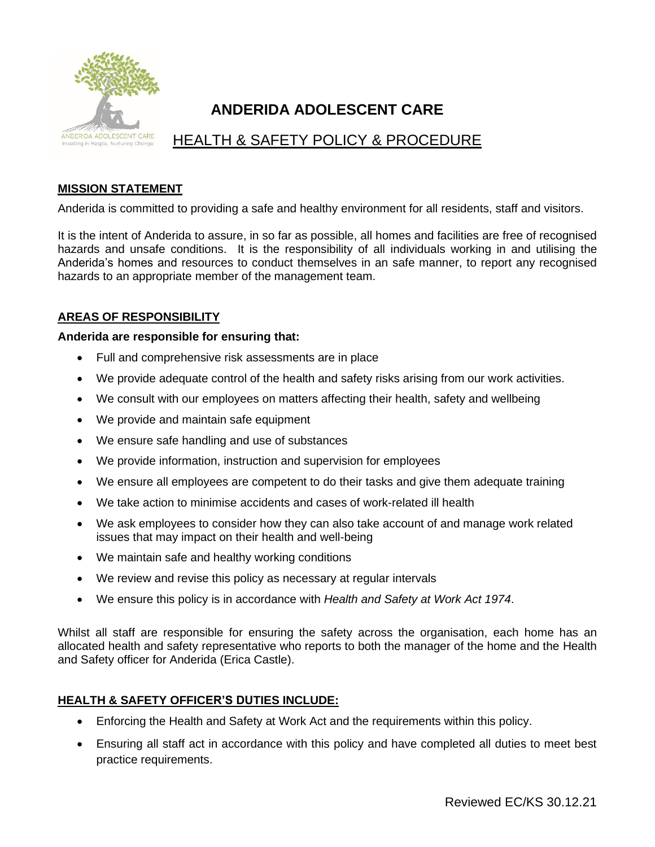

# **ANDERIDA ADOLESCENT CARE**

# HEALTH & SAFETY POLICY & PROCEDURE

# **MISSION STATEMENT**

Anderida is committed to providing a safe and healthy environment for all residents, staff and visitors.

It is the intent of Anderida to assure, in so far as possible, all homes and facilities are free of recognised hazards and unsafe conditions. It is the responsibility of all individuals working in and utilising the Anderida's homes and resources to conduct themselves in an safe manner, to report any recognised hazards to an appropriate member of the management team.

# **AREAS OF RESPONSIBILITY**

#### **Anderida are responsible for ensuring that:**

- Full and comprehensive risk assessments are in place
- We provide adequate control of the health and safety risks arising from our work activities.
- We consult with our employees on matters affecting their health, safety and wellbeing
- We provide and maintain safe equipment
- We ensure safe handling and use of substances
- We provide information, instruction and supervision for employees
- We ensure all employees are competent to do their tasks and give them adequate training
- We take action to minimise accidents and cases of work-related ill health
- We ask employees to consider how they can also take account of and manage work related issues that may impact on their health and well-being
- We maintain safe and healthy working conditions
- We review and revise this policy as necessary at regular intervals
- We ensure this policy is in accordance with *Health and Safety at Work Act 1974*.

Whilst all staff are responsible for ensuring the safety across the organisation, each home has an allocated health and safety representative who reports to both the manager of the home and the Health and Safety officer for Anderida (Erica Castle).

## **HEALTH & SAFETY OFFICER'S DUTIES INCLUDE:**

- Enforcing the Health and Safety at Work Act and the requirements within this policy.
- Ensuring all staff act in accordance with this policy and have completed all duties to meet best practice requirements.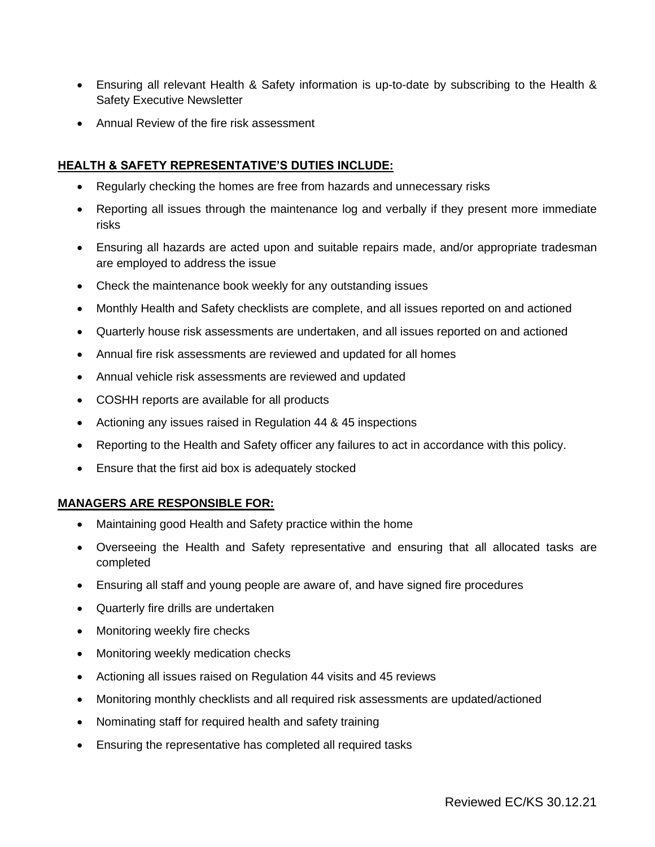- Ensuring all relevant Health & Safety information is up-to-date by subscribing to the Health & Safety Executive Newsletter
- Annual Review of the fire risk assessment

# **HEALTH & SAFETY REPRESENTATIVE'S DUTIES INCLUDE:**

- Regularly checking the homes are free from hazards and unnecessary risks
- Reporting all issues through the maintenance log and verbally if they present more immediate risks
- Ensuring all hazards are acted upon and suitable repairs made, and/or appropriate tradesman are employed to address the issue
- Check the maintenance book weekly for any outstanding issues
- Monthly Health and Safety checklists are complete, and all issues reported on and actioned
- Quarterly house risk assessments are undertaken, and all issues reported on and actioned
- Annual fire risk assessments are reviewed and updated for all homes
- Annual vehicle risk assessments are reviewed and updated
- COSHH reports are available for all products
- Actioning any issues raised in Regulation 44 & 45 inspections
- Reporting to the Health and Safety officer any failures to act in accordance with this policy.
- Ensure that the first aid box is adequately stocked

## **MANAGERS ARE RESPONSIBLE FOR:**

- Maintaining good Health and Safety practice within the home
- Overseeing the Health and Safety representative and ensuring that all allocated tasks are completed
- Ensuring all staff and young people are aware of, and have signed fire procedures
- Quarterly fire drills are undertaken
- Monitoring weekly fire checks
- Monitoring weekly medication checks
- Actioning all issues raised on Regulation 44 visits and 45 reviews
- Monitoring monthly checklists and all required risk assessments are updated/actioned
- Nominating staff for required health and safety training
- Ensuring the representative has completed all required tasks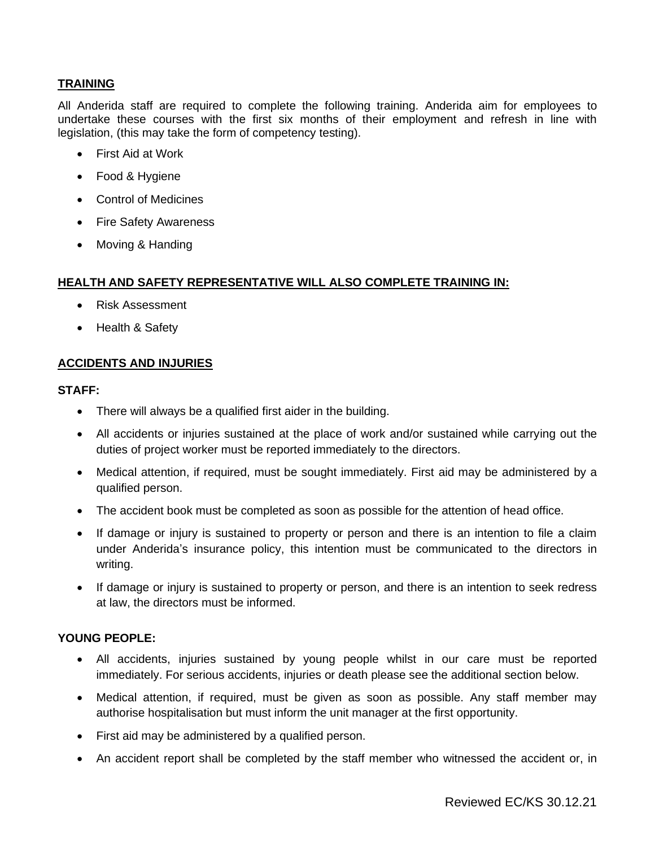# **TRAINING**

All Anderida staff are required to complete the following training. Anderida aim for employees to undertake these courses with the first six months of their employment and refresh in line with legislation, (this may take the form of competency testing).

- First Aid at Work
- Food & Hygiene
- Control of Medicines
- Fire Safety Awareness
- Moving & Handing

#### **HEALTH AND SAFETY REPRESENTATIVE WILL ALSO COMPLETE TRAINING IN:**

- Risk Assessment
- Health & Safety

## **ACCIDENTS AND INJURIES**

#### **STAFF:**

- There will always be a qualified first aider in the building.
- All accidents or injuries sustained at the place of work and/or sustained while carrying out the duties of project worker must be reported immediately to the directors.
- Medical attention, if required, must be sought immediately. First aid may be administered by a qualified person.
- The accident book must be completed as soon as possible for the attention of head office.
- If damage or injury is sustained to property or person and there is an intention to file a claim under Anderida's insurance policy, this intention must be communicated to the directors in writing.
- If damage or injury is sustained to property or person, and there is an intention to seek redress at law, the directors must be informed.

## **YOUNG PEOPLE:**

- All accidents, injuries sustained by young people whilst in our care must be reported immediately. For serious accidents, injuries or death please see the additional section below.
- Medical attention, if required, must be given as soon as possible. Any staff member may authorise hospitalisation but must inform the unit manager at the first opportunity.
- First aid may be administered by a qualified person.
- An accident report shall be completed by the staff member who witnessed the accident or, in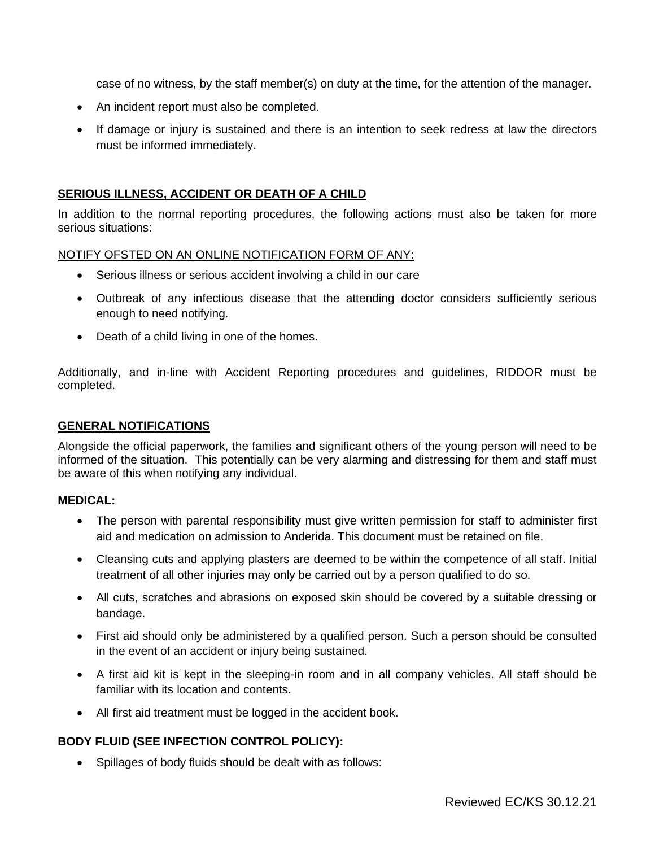case of no witness, by the staff member(s) on duty at the time, for the attention of the manager.

- An incident report must also be completed.
- If damage or injury is sustained and there is an intention to seek redress at law the directors must be informed immediately.

#### **SERIOUS ILLNESS, ACCIDENT OR DEATH OF A CHILD**

In addition to the normal reporting procedures, the following actions must also be taken for more serious situations:

#### NOTIFY OFSTED ON AN ONLINE NOTIFICATION FORM OF ANY:

- Serious illness or serious accident involving a child in our care
- Outbreak of any infectious disease that the attending doctor considers sufficiently serious enough to need notifying.
- Death of a child living in one of the homes.

Additionally, and in-line with Accident Reporting procedures and guidelines, RIDDOR must be completed.

#### **GENERAL NOTIFICATIONS**

Alongside the official paperwork, the families and significant others of the young person will need to be informed of the situation. This potentially can be very alarming and distressing for them and staff must be aware of this when notifying any individual.

#### **MEDICAL:**

- The person with parental responsibility must give written permission for staff to administer first aid and medication on admission to Anderida. This document must be retained on file.
- Cleansing cuts and applying plasters are deemed to be within the competence of all staff. Initial treatment of all other injuries may only be carried out by a person qualified to do so.
- All cuts, scratches and abrasions on exposed skin should be covered by a suitable dressing or bandage.
- First aid should only be administered by a qualified person. Such a person should be consulted in the event of an accident or injury being sustained.
- A first aid kit is kept in the sleeping-in room and in all company vehicles. All staff should be familiar with its location and contents.
- All first aid treatment must be logged in the accident book.

## **BODY FLUID (SEE INFECTION CONTROL POLICY):**

• Spillages of body fluids should be dealt with as follows: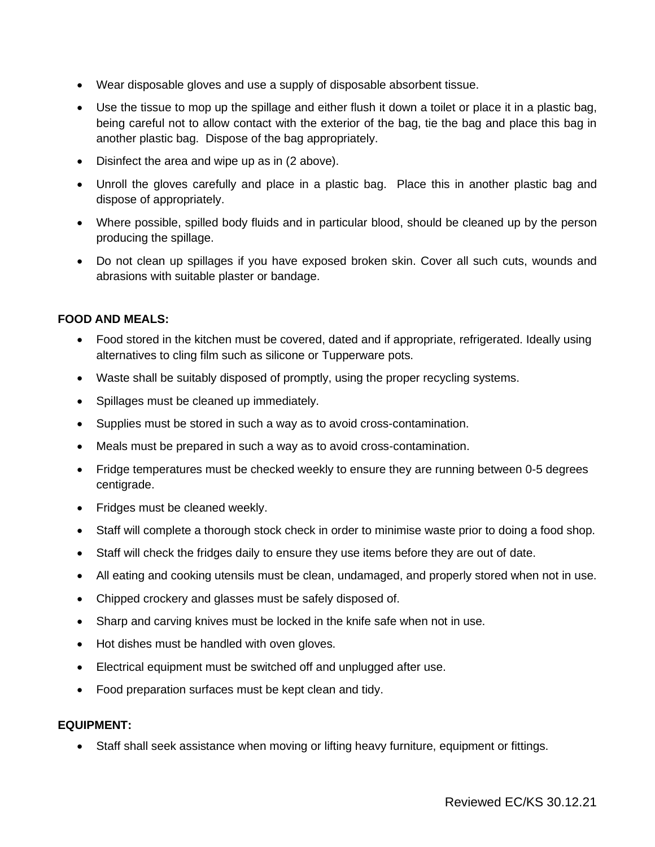- Wear disposable gloves and use a supply of disposable absorbent tissue.
- Use the tissue to mop up the spillage and either flush it down a toilet or place it in a plastic bag, being careful not to allow contact with the exterior of the bag, tie the bag and place this bag in another plastic bag. Dispose of the bag appropriately.
- Disinfect the area and wipe up as in (2 above).
- Unroll the gloves carefully and place in a plastic bag. Place this in another plastic bag and dispose of appropriately.
- Where possible, spilled body fluids and in particular blood, should be cleaned up by the person producing the spillage.
- Do not clean up spillages if you have exposed broken skin. Cover all such cuts, wounds and abrasions with suitable plaster or bandage.

# **FOOD AND MEALS:**

- Food stored in the kitchen must be covered, dated and if appropriate, refrigerated. Ideally using alternatives to cling film such as silicone or Tupperware pots.
- Waste shall be suitably disposed of promptly, using the proper recycling systems.
- Spillages must be cleaned up immediately.
- Supplies must be stored in such a way as to avoid cross-contamination.
- Meals must be prepared in such a way as to avoid cross-contamination.
- Fridge temperatures must be checked weekly to ensure they are running between 0-5 degrees centigrade.
- Fridges must be cleaned weekly.
- Staff will complete a thorough stock check in order to minimise waste prior to doing a food shop.
- Staff will check the fridges daily to ensure they use items before they are out of date.
- All eating and cooking utensils must be clean, undamaged, and properly stored when not in use.
- Chipped crockery and glasses must be safely disposed of.
- Sharp and carving knives must be locked in the knife safe when not in use.
- Hot dishes must be handled with oven gloves.
- Electrical equipment must be switched off and unplugged after use.
- Food preparation surfaces must be kept clean and tidy.

## **EQUIPMENT:**

• Staff shall seek assistance when moving or lifting heavy furniture, equipment or fittings.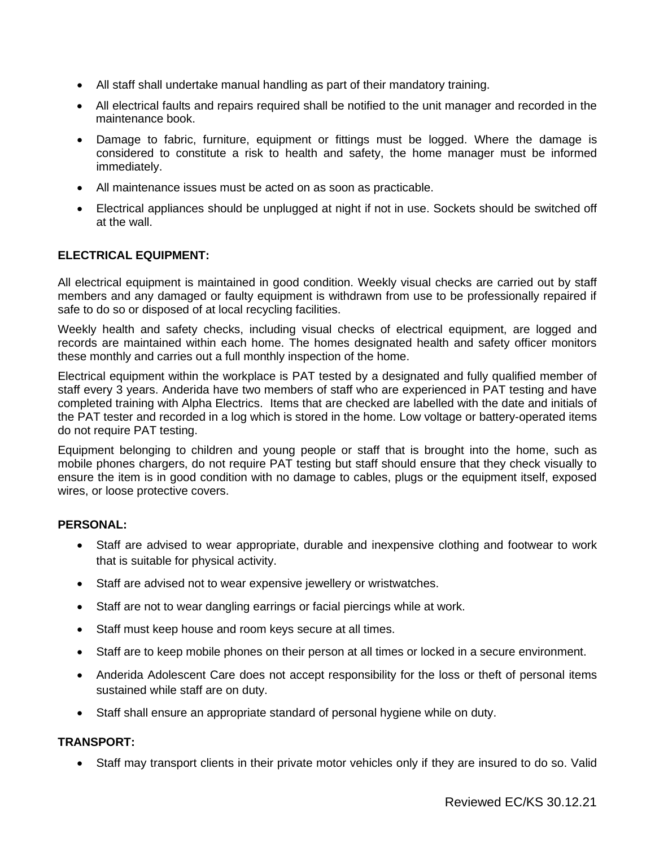- All staff shall undertake manual handling as part of their mandatory training.
- All electrical faults and repairs required shall be notified to the unit manager and recorded in the maintenance book.
- Damage to fabric, furniture, equipment or fittings must be logged. Where the damage is considered to constitute a risk to health and safety, the home manager must be informed immediately.
- All maintenance issues must be acted on as soon as practicable.
- Electrical appliances should be unplugged at night if not in use. Sockets should be switched off at the wall.

## **ELECTRICAL EQUIPMENT:**

All electrical equipment is maintained in good condition. Weekly visual checks are carried out by staff members and any damaged or faulty equipment is withdrawn from use to be professionally repaired if safe to do so or disposed of at local recycling facilities.

Weekly health and safety checks, including visual checks of electrical equipment, are logged and records are maintained within each home. The homes designated health and safety officer monitors these monthly and carries out a full monthly inspection of the home.

Electrical equipment within the workplace is PAT tested by a designated and fully qualified member of staff every 3 years. Anderida have two members of staff who are experienced in PAT testing and have completed training with Alpha Electrics. Items that are checked are labelled with the date and initials of the PAT tester and recorded in a log which is stored in the home. Low voltage or battery-operated items do not require PAT testing.

Equipment belonging to children and young people or staff that is brought into the home, such as mobile phones chargers, do not require PAT testing but staff should ensure that they check visually to ensure the item is in good condition with no damage to cables, plugs or the equipment itself, exposed wires, or loose protective covers.

#### **PERSONAL:**

- Staff are advised to wear appropriate, durable and inexpensive clothing and footwear to work that is suitable for physical activity.
- Staff are advised not to wear expensive jewellery or wristwatches.
- Staff are not to wear dangling earrings or facial piercings while at work.
- Staff must keep house and room keys secure at all times.
- Staff are to keep mobile phones on their person at all times or locked in a secure environment.
- Anderida Adolescent Care does not accept responsibility for the loss or theft of personal items sustained while staff are on duty.
- Staff shall ensure an appropriate standard of personal hygiene while on duty.

# **TRANSPORT:**

• Staff may transport clients in their private motor vehicles only if they are insured to do so. Valid